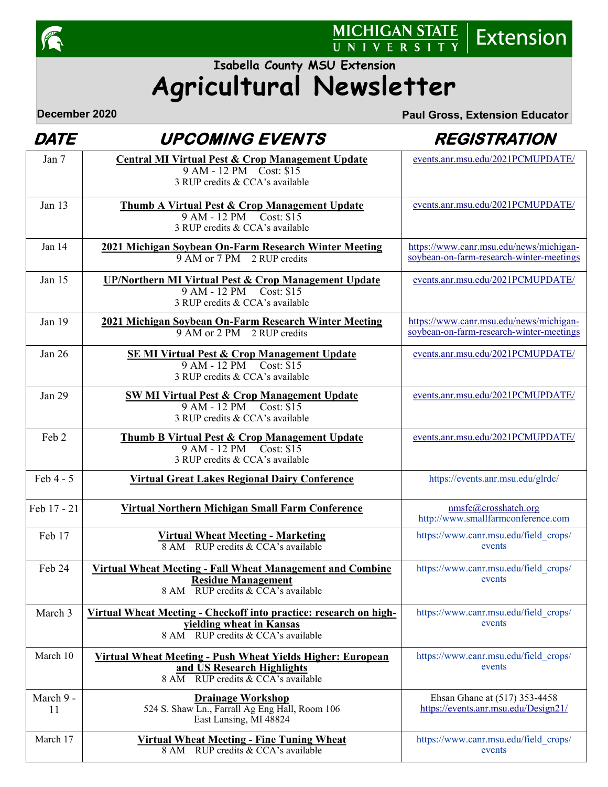

# MICHIGAN STATE | Extension

## **Agricultural Newsletter Isabella County MSU Extension**

 $\dddot{\overline{U}}$ 

**December 2020 Paul Gross, Extension Educator**

## **DATE** UPCOMING EVENTS REGISTRATION

| Jan 7           | <b>Central MI Virtual Pest &amp; Crop Management Update</b><br>9 AM - 12 PM Cost: \$15                                                 | events.anr.msu.edu/2021PCMUPDATE/                                                   |
|-----------------|----------------------------------------------------------------------------------------------------------------------------------------|-------------------------------------------------------------------------------------|
| Jan $13$        | 3 RUP credits & CCA's available                                                                                                        | events.anr.msu.edu/2021PCMUPDATE/                                                   |
|                 | <b>Thumb A Virtual Pest &amp; Crop Management Update</b><br>9 AM - 12 PM Cost: \$15<br>3 RUP credits & CCA's available                 |                                                                                     |
| Jan 14          | 2021 Michigan Soybean On-Farm Research Winter Meeting<br>9 AM or 7 PM 2 RUP credits                                                    | https://www.canr.msu.edu/news/michigan-<br>soybean-on-farm-research-winter-meetings |
| Jan $15$        | <b>UP/Northern MI Virtual Pest &amp; Crop Management Update</b><br>9 AM - 12 PM Cost: \$15<br>3 RUP credits & CCA's available          | events.anr.msu.edu/2021PCMUPDATE/                                                   |
| Jan 19          | 2021 Michigan Soybean On-Farm Research Winter Meeting<br>9 AM or 2 PM 2 RUP credits                                                    | https://www.canr.msu.edu/news/michigan-<br>soybean-on-farm-research-winter-meetings |
| Jan 26          | <b>SEMI Virtual Pest &amp; Crop Management Update</b><br>9 AM - 12 PM Cost: \$15<br>3 RUP credits & CCA's available                    | events.anr.msu.edu/2021PCMUPDATE/                                                   |
| <b>Jan 29</b>   | <b>SW MI Virtual Pest &amp; Crop Management Update</b><br>9 AM - 12 PM Cost: \$15<br>3 RUP credits & CCA's available                   | events.anr.msu.edu/2021PCMUPDATE/                                                   |
| Feb 2           | Thumb B Virtual Pest & Crop Management Update<br>9 AM - 12 PM Cost: \$15<br>3 RUP credits & CCA's available                            | events.anr.msu.edu/2021PCMUPDATE/                                                   |
| Feb 4 - 5       | <b>Virtual Great Lakes Regional Dairy Conference</b>                                                                                   | https://events.anr.msu.edu/glrdc/                                                   |
| Feb 17 - 21     | <b>Virtual Northern Michigan Small Farm Conference</b>                                                                                 | nmsfc@crosshatch.org<br>http://www.smallfarmconference.com                          |
| Feb 17          | Virtual Wheat Meeting - Marketing<br>8 AM RUP credits & CCA's available                                                                | https://www.canr.msu.edu/field crops/<br>events                                     |
| Feb 24          | <b>Virtual Wheat Meeting - Fall Wheat Management and Combine</b><br><b>Residue Management</b><br>8 AM RUP credits & CCA's available    | https://www.canr.msu.edu/field_crops/<br>events                                     |
| March 3         | Virtual Wheat Meeting - Checkoff into practice: research on high-<br>vielding wheat in Kansas<br>8 AM RUP credits & CCA's available    | https://www.canr.msu.edu/field_crops/<br>events                                     |
| March 10        | <u> Virtual Wheat Meeting - Push Wheat Yields Higher: European</u><br>and US Research Highlights<br>8 AM RUP credits & CCA's available | https://www.canr.msu.edu/field_crops/<br>events                                     |
| March 9 -<br>11 | <b>Drainage Workshop</b><br>524 S. Shaw Ln., Farrall Ag Eng Hall, Room 106<br>East Lansing, MI 48824                                   | Ehsan Ghane at (517) 353-4458<br>https://events.anr.msu.edu/Design21/               |
| March 17        | <b>Virtual Wheat Meeting - Fine Tuning Wheat</b><br>8 AM RUP credits & CCA's available                                                 | https://www.canr.msu.edu/field crops/<br>events                                     |